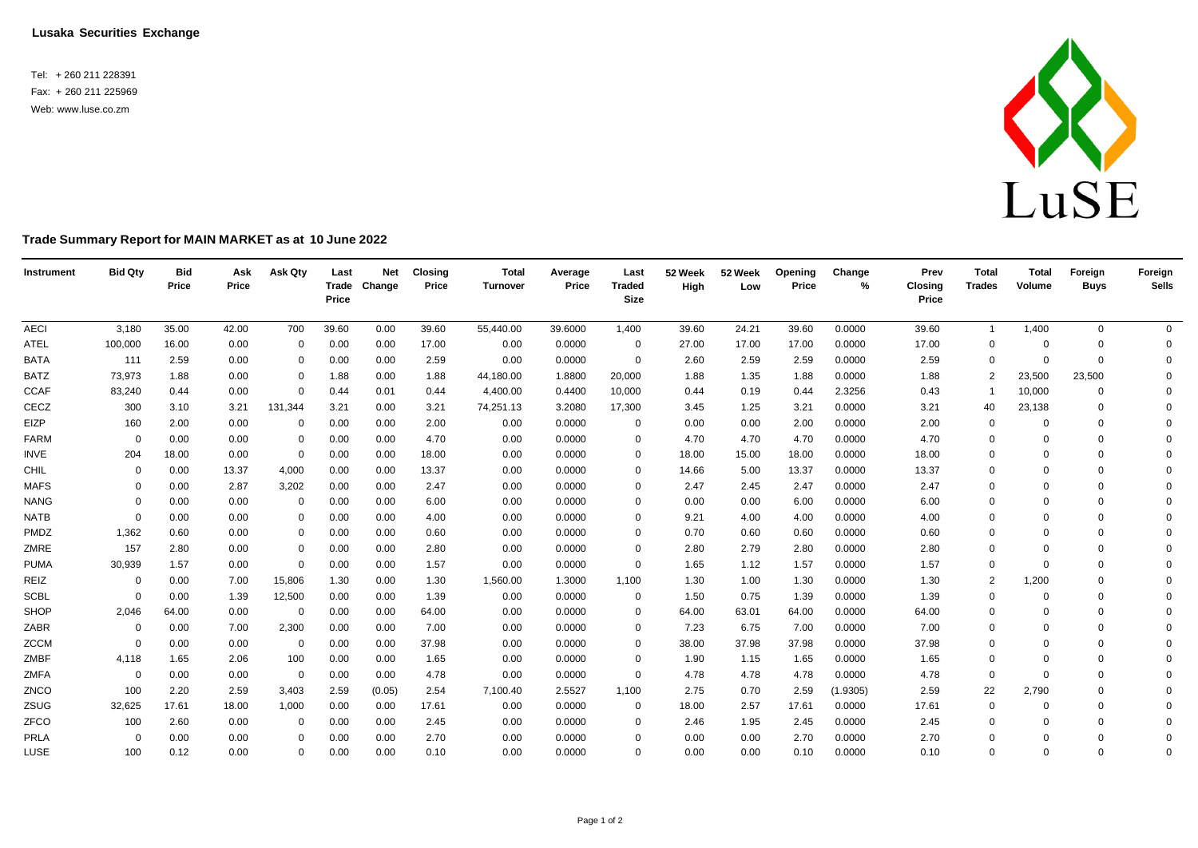**Lusaka Securities Exchange**

Tel: + 260 211 228391 Fax: + 260 211 225969 Web: [www.luse.co.zm](http://www.luse.co.zm/)



## **Trade Summary Report for MAIN MARKET as at 10 June 2022**

| Instrument  | <b>Bid Qty</b> | <b>Bid</b><br>Price | Ask<br>Price | Ask Qty      | Last<br>Price | <b>Net</b><br>Trade Change | <b>Closing</b><br>Price | <b>Total</b><br>Turnover | Average<br>Price | Last<br><b>Traded</b><br><b>Size</b> | 52 Week<br>High | 52 Week<br>Low | Opening<br>Price | Change<br>% | Prev<br>Closing<br>Price | <b>Total</b><br><b>Trades</b> | <b>Total</b><br>Volume | Foreign<br><b>Buys</b> | Foreign<br><b>Sells</b> |
|-------------|----------------|---------------------|--------------|--------------|---------------|----------------------------|-------------------------|--------------------------|------------------|--------------------------------------|-----------------|----------------|------------------|-------------|--------------------------|-------------------------------|------------------------|------------------------|-------------------------|
| <b>AECI</b> | 3,180          | 35.00               | 42.00        | 700          | 39.60         | 0.00                       | 39.60                   | 55,440.00                | 39.6000          | 1,400                                | 39.60           | 24.21          | 39.60            | 0.0000      | 39.60                    | $\mathbf{1}$                  | 1,400                  | $\mathbf 0$            | $\overline{0}$          |
| <b>ATEL</b> | 100,000        | 16.00               | 0.00         | $\Omega$     | 0.00          | 0.00                       | 17.00                   | 0.00                     | 0.0000           | $\overline{0}$                       | 27.00           | 17.00          | 17.00            | 0.0000      | 17.00                    | $\mathbf 0$                   | $\Omega$               | $\Omega$               | $\mathbf{0}$            |
| <b>BATA</b> | 111            | 2.59                | 0.00         | 0            | 0.00          | 0.00                       | 2.59                    | 0.00                     | 0.0000           | 0                                    | 2.60            | 2.59           | 2.59             | 0.0000      | 2.59                     | $\mathbf 0$                   | $\Omega$               | $\mathbf 0$            | $\Omega$                |
| <b>BATZ</b> | 73,973         | 1.88                | 0.00         | 0            | 1.88          | 0.00                       | 1.88                    | 44,180.00                | 1.8800           | 20,000                               | 1.88            | 1.35           | 1.88             | 0.0000      | 1.88                     | $\overline{2}$                | 23,500                 | 23,500                 | $\Omega$                |
| <b>CCAF</b> | 83,240         | 0.44                | 0.00         | $\mathbf 0$  | 0.44          | 0.01                       | 0.44                    | 4,400.00                 | 0.4400           | 10,000                               | 0.44            | 0.19           | 0.44             | 2.3256      | 0.43                     | $\overline{1}$                | 10,000                 | $\mathbf 0$            | $\Omega$                |
| CECZ        | 300            | 3.10                | 3.21         | 131,344      | 3.21          | 0.00                       | 3.21                    | 74,251.13                | 3.2080           | 17,300                               | 3.45            | 1.25           | 3.21             | 0.0000      | 3.21                     | 40                            | 23,138                 | $\mathbf 0$            | $\Omega$                |
| EIZP        | 160            | 2.00                | 0.00         | 0            | 0.00          | 0.00                       | 2.00                    | 0.00                     | 0.0000           | $\mathbf{0}$                         | 0.00            | 0.00           | 2.00             | 0.0000      | 2.00                     | 0                             | $\Omega$               | $\Omega$               | $\Omega$                |
| <b>FARM</b> | $\Omega$       | 0.00                | 0.00         | 0            | 0.00          | 0.00                       | 4.70                    | 0.00                     | 0.0000           | $\Omega$                             | 4.70            | 4.70           | 4.70             | 0.0000      | 4.70                     | $\mathbf 0$                   | $\Omega$               | $\Omega$               | $\Omega$                |
| INVE        | 204            | 18.00               | 0.00         | $\mathbf 0$  | 0.00          | 0.00                       | 18.00                   | 0.00                     | 0.0000           | $\Omega$                             | 18.00           | 15.00          | 18.00            | 0.0000      | 18.00                    | $\mathbf 0$                   | $\Omega$               | $\Omega$               | $\Omega$                |
| CHIL        | $\Omega$       | 0.00                | 13.37        | 4,000        | 0.00          | 0.00                       | 13.37                   | 0.00                     | 0.0000           | $\Omega$                             | 14.66           | 5.00           | 13.37            | 0.0000      | 13.37                    | $\Omega$                      | $\Omega$               | $\Omega$               | $\Omega$                |
| <b>MAFS</b> | 0              | 0.00                | 2.87         | 3,202        | 0.00          | 0.00                       | 2.47                    | 0.00                     | 0.0000           | $\Omega$                             | 2.47            | 2.45           | 2.47             | 0.0000      | 2.47                     | $\mathbf 0$                   | $\Omega$               | $\Omega$               | $\Omega$                |
| <b>NANG</b> | $\Omega$       | 0.00                | 0.00         | 0            | 0.00          | 0.00                       | 6.00                    | 0.00                     | 0.0000           | $\Omega$                             | 0.00            | 0.00           | 6.00             | 0.0000      | 6.00                     | 0                             | $\Omega$               | $\Omega$               | $\Omega$                |
| <b>NATB</b> | $\Omega$       | 0.00                | 0.00         | 0            | 0.00          | 0.00                       | 4.00                    | 0.00                     | 0.0000           | $\Omega$                             | 9.21            | 4.00           | 4.00             | 0.0000      | 4.00                     | $\mathbf 0$                   | $\Omega$               | $\Omega$               | $\Omega$                |
| PMDZ        | 1,362          | 0.60                | 0.00         | $\Omega$     | 0.00          | 0.00                       | 0.60                    | 0.00                     | 0.0000           | $\Omega$                             | 0.70            | 0.60           | 0.60             | 0.0000      | 0.60                     | $\mathbf 0$                   | $\Omega$               | $\Omega$               | $\Omega$                |
| ZMRE        | 157            | 2.80                | 0.00         | 0            | 0.00          | 0.00                       | 2.80                    | 0.00                     | 0.0000           | $\Omega$                             | 2.80            | 2.79           | 2.80             | 0.0000      | 2.80                     | $\Omega$                      | $\Omega$               | $\Omega$               | $\Omega$                |
| <b>PUMA</b> | 30,939         | 1.57                | 0.00         | $\mathbf{0}$ | 0.00          | 0.00                       | 1.57                    | 0.00                     | 0.0000           | 0                                    | 1.65            | 1.12           | 1.57             | 0.0000      | 1.57                     | $\mathbf 0$                   | $\Omega$               | $\Omega$               | $\Omega$                |
| REIZ        | $\mathbf 0$    | 0.00                | 7.00         | 15,806       | 1.30          | 0.00                       | 1.30                    | 1,560.00                 | 1.3000           | 1,100                                | 1.30            | 1.00           | 1.30             | 0.0000      | 1.30                     | $\overline{2}$                | 1,200                  | $\Omega$               | $\Omega$                |
| <b>SCBL</b> | $\Omega$       | 0.00                | 1.39         | 12,500       | 0.00          | 0.00                       | 1.39                    | 0.00                     | 0.0000           | 0                                    | 1.50            | 0.75           | 1.39             | 0.0000      | 1.39                     | $\mathbf 0$                   | $\Omega$               | $\Omega$               | $\Omega$                |
| SHOP        | 2,046          | 64.00               | 0.00         | 0            | 0.00          | 0.00                       | 64.00                   | 0.00                     | 0.0000           | 0                                    | 64.00           | 63.01          | 64.00            | 0.0000      | 64.00                    | $\mathbf 0$                   | $\Omega$               | $\Omega$               | $\Omega$                |
| ZABR        | $\mathbf 0$    | 0.00                | 7.00         | 2,300        | 0.00          | 0.00                       | 7.00                    | 0.00                     | 0.0000           | $\Omega$                             | 7.23            | 6.75           | 7.00             | 0.0000      | 7.00                     | $\mathbf 0$                   | $\Omega$               | $\Omega$               | $\Omega$                |
| <b>ZCCM</b> | $\Omega$       | 0.00                | 0.00         | 0            | 0.00          | 0.00                       | 37.98                   | 0.00                     | 0.0000           | $\Omega$                             | 38.00           | 37.98          | 37.98            | 0.0000      | 37.98                    | $\Omega$                      | $\Omega$               | $\Omega$               | $\Omega$                |
| ZMBF        | 4,118          | 1.65                | 2.06         | 100          | 0.00          | 0.00                       | 1.65                    | 0.00                     | 0.0000           | 0                                    | 1.90            | 1.15           | 1.65             | 0.0000      | 1.65                     | $\mathbf 0$                   | $\Omega$               | $\Omega$               | $\Omega$                |
| ZMFA        | $\overline{0}$ | 0.00                | 0.00         | 0            | 0.00          | 0.00                       | 4.78                    | 0.00                     | 0.0000           | $\Omega$                             | 4.78            | 4.78           | 4.78             | 0.0000      | 4.78                     | 0                             | $\Omega$               | $\Omega$               | $\Omega$                |
| ZNCO        | 100            | 2.20                | 2.59         | 3,403        | 2.59          | (0.05)                     | 2.54                    | 7,100.40                 | 2.5527           | 1,100                                | 2.75            | 0.70           | 2.59             | (1.9305)    | 2.59                     | 22                            | 2,790                  | $\Omega$               | $\Omega$                |
| ZSUG        | 32,625         | 17.61               | 18.00        | 1,000        | 0.00          | 0.00                       | 17.61                   | 0.00                     | 0.0000           | $\mathbf 0$                          | 18.00           | 2.57           | 17.61            | 0.0000      | 17.61                    | 0                             | $\Omega$               | $\Omega$               | $\Omega$                |
| ZFCO        | 100            | 2.60                | 0.00         | 0            | 0.00          | 0.00                       | 2.45                    | 0.00                     | 0.0000           | $\Omega$                             | 2.46            | 1.95           | 2.45             | 0.0000      | 2.45                     | $\mathbf 0$                   |                        | $\Omega$               | $\Omega$                |
| PRLA        | 0              | 0.00                | 0.00         | $\Omega$     | 0.00          | 0.00                       | 2.70                    | 0.00                     | 0.0000           | $\Omega$                             | 0.00            | 0.00           | 2.70             | 0.0000      | 2.70                     | $\Omega$                      | $\Omega$               | $\Omega$               | $\mathbf 0$             |
| LUSE        | 100            | 0.12                | 0.00         | $\Omega$     | 0.00          | 0.00                       | 0.10                    | 0.00                     | 0.0000           | $\Omega$                             | 0.00            | 0.00           | 0.10             | 0.0000      | 0.10                     | $\Omega$                      | $\Omega$               | $\Omega$               | $\Omega$                |